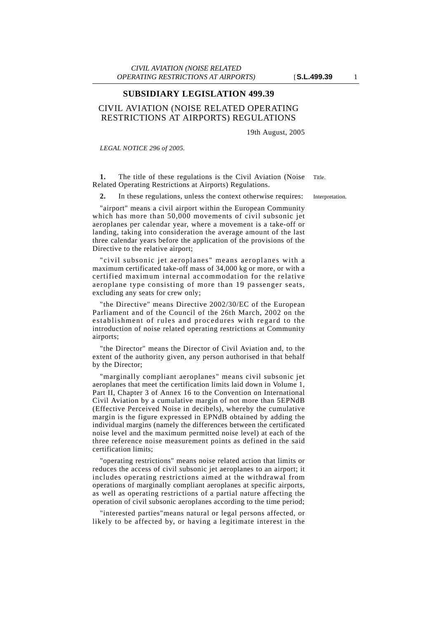## **SUBSIDIARY LEGISLATION 499.39**

## CIVIL AVIATION (NOISE RELATED OPERATING RESTRICTIONS AT AIRPORTS) REGULATIONS

19th August, 2005

*LEGAL NOTICE 296 of 2005.*

**1.** The title of these regulations is the Civil Aviation (Noise Title. Related Operating Restrictions at Airports) Regulations.

**2.** In these regulations, unless the context otherwise requires: Interpretation.

"airport" means a civil airport within the European Community which has more than 50,000 movements of civil subsonic jet aeroplanes per calendar year, where a movement is a take-off or landing, taking into consideration the average amount of the last three calendar years before the application of the provisions of the Directive to the relative airport;

"civil subsonic jet aeroplanes" means aeroplanes with a maximum certificated take-off mass of 34,000 kg or more, or with a certified maximum internal accommodation for the relative aeroplane type consisting of more than 19 passenger seats, excluding any seats for crew only;

"the Directive" means Directive 2002/30/EC of the European Parliament and of the Council of the 26th March, 2002 on the establishment of rules and procedures with regard to the introduction of noise related operating restrictions at Community airports;

"the Director" means the Director of Civil Aviation and, to the extent of the authority given, any person authorised in that behalf by the Director;

"marginally compliant aeroplanes" means civil subsonic jet aeroplanes that meet the certification limits laid down in Volume 1, Part II, Chapter 3 of Annex 16 to the Convention on International Civil Aviation by a cumulative margin of not more than 5EPNdB (Effective Perceived Noise in decibels), whereby the cumulative margin is the figure expressed in EPNdB obtained by adding the individual margins (namely the differences between the certificated noise level and the maximum permitted noise level) at each of the three reference noise measurement points as defined in the said certification limits;

"operating restrictions" means noise related action that limits or reduces the access of civil subsonic jet aeroplanes to an airport; it includes operating restrictions aimed at the withdrawal from operations of marginally compliant aeroplanes at specific airports, as well as operating restrictions of a partial nature affecting the operation of civil subsonic aeroplanes according to the time period;

"interested parties"means natural or legal persons affected, or likely to be affected by, or having a legitimate interest in the